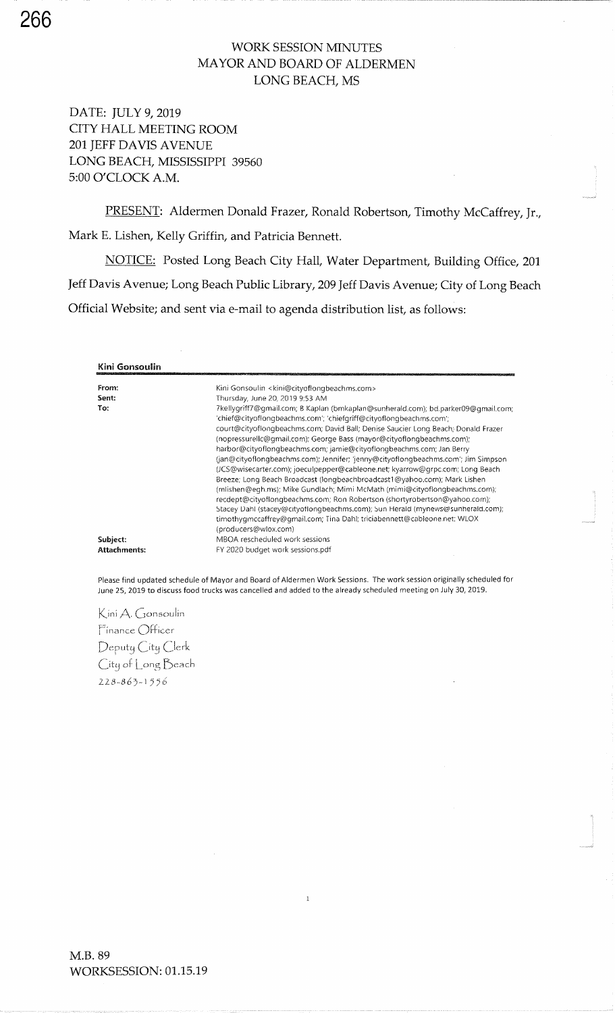### WORK SESSION MINUTES MAYOR AND BOARD OF ALDERMENLONG BEACH, MS

DATE: IULY 9,2019 CITY HALL MEETING ROOM201 JEFF DAVIS AVENUE LONG BEACH, MISSISSIPPI 395605:00 O'CLOCK A.M.

PRESENT: Aldermen Donald Frazer, Ronald Robertson, Timothy McCaffrey, Jr., Mark E. Lishen, Kelly Griffin, and Patricia Bennett.

NOTICE: Posted Long Beach City Hall, Water Department, Building Office, 201 Jeff Davis Avenue; Long Beach Public Library,209 Jeff Davis Avenue; City of Long BeachOfficial Website; and sent via e-mail to agenda distribution list, as follows:

| Kini Gonsoulin      |                                                                                                                                                                                                                                                                                                                                                                                                                                                                                                                                                                                                                                                                                                                                                                                                             |
|---------------------|-------------------------------------------------------------------------------------------------------------------------------------------------------------------------------------------------------------------------------------------------------------------------------------------------------------------------------------------------------------------------------------------------------------------------------------------------------------------------------------------------------------------------------------------------------------------------------------------------------------------------------------------------------------------------------------------------------------------------------------------------------------------------------------------------------------|
| From:               | Kini Gonsoulin <kini@cityoflongbeachms.com></kini@cityoflongbeachms.com>                                                                                                                                                                                                                                                                                                                                                                                                                                                                                                                                                                                                                                                                                                                                    |
| Sent:               | Thursday, June 20, 2019 9:53 AM                                                                                                                                                                                                                                                                                                                                                                                                                                                                                                                                                                                                                                                                                                                                                                             |
| To:                 | 7kellygriff7@gmail.com; B Kaplan (bmkaplan@sunherald.com); bd.parker09@gmail.com;<br>'chief@cityoflongbeachms.com'; 'chiefgriff@cityoflongbeachms.com';<br>court@cityoflongbeachms.com; David Ball; Denise Saucier Long Beach; Donald Frazer<br>(nopressurellc@qmail.com); George Bass (mayor@cityoflongbeachms.com);<br>harbor@cityoflongbeachms.com; jamie@cityoflongbeachms.com; Jan Berry<br>(jan@cityoflongbeachms.com); Jennifer; 'jenny@cityoflongbeachms.com'; Jim Simpson<br>(JCS@wisecarter.com); joeculpepper@cableone.net; kyarrow@grpc.com; Long Beach<br>Breeze; Long Beach Broadcast (longbeachbroadcast1@yahoo.com); Mark Lishen<br>(mlishen@egh.ms); Mike Gundlach; Mimi McMath (mimi@cityoflongbeachms.com);<br>recdept@cityoflongbeachms.com; Ron Robertson (shortyrobertson@yahoo.com); |
|                     | Stacey Dahl (stacey@cityoflongbeachms.com); Sun Herald (mynews@sunherald.com);                                                                                                                                                                                                                                                                                                                                                                                                                                                                                                                                                                                                                                                                                                                              |
|                     | timothygmccaffrey@gmail.com; Tina Dahl; triciabennett@cableone.net; WLOX<br>(producers@wlox.com)                                                                                                                                                                                                                                                                                                                                                                                                                                                                                                                                                                                                                                                                                                            |
| Subject:            | MBOA rescheduled work sessions                                                                                                                                                                                                                                                                                                                                                                                                                                                                                                                                                                                                                                                                                                                                                                              |
| <b>Attachments:</b> | FY 2020 budget work sessions.pdf                                                                                                                                                                                                                                                                                                                                                                                                                                                                                                                                                                                                                                                                                                                                                                            |

Please find updated schedule of Mayor and Board of Aldermen Work Sessions. The work session originally scheduled fo June 25, 2019 to discuss food trucks was cancelled and added to the already scheduled meeting on July 30, 2019.

 $\mathbf{1}$ 

Kini A. Gonsoulin Finance Officer Deputy City Clerk City of Long Beach 228-863-1556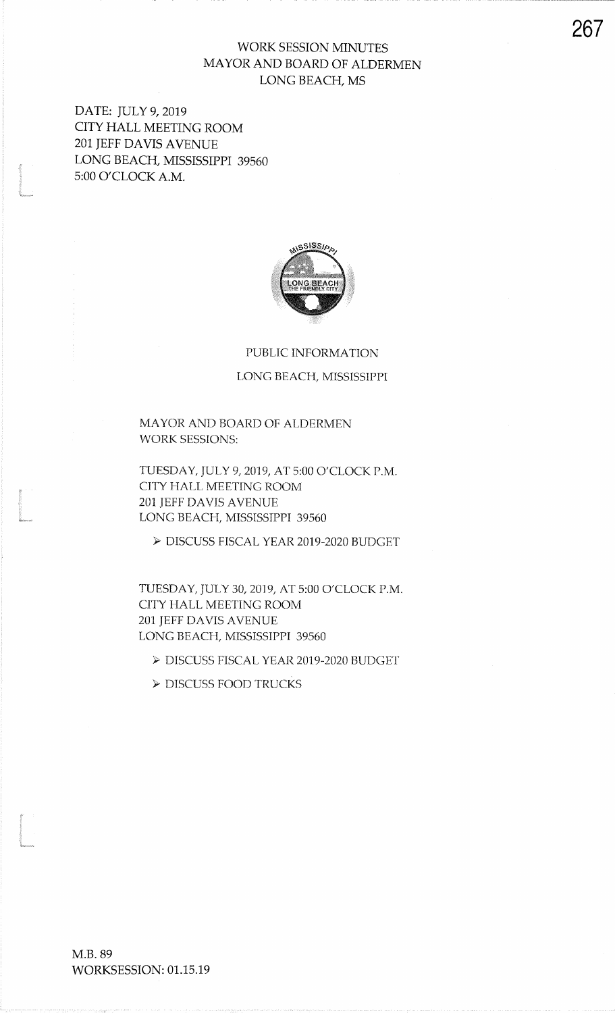## WORK SESSION MINUTES MAYOR AND BOARD OF ALDERMENLONG BEACH, MS

DATE: JULY 9, 2019 CITY HALL MEETING ROOM2Ol IEFF DAVIS AVENUE LONG BEACH, MISSFSIPPI 395605:00 O'CLOCK A.M.

t and a strong of the state of the state of the state of the state of the state of the state of the state of the state of the state of the state of the state of the state of the state of the state of the state of the state

I<br>I<br>I

t<br>Linkerne og den forskele og den forskele og den forskele og den forskele og den forskele og den forskele og d<br>Linkerne og den forskele og den forskele og den forskele og den forskele og den forskele og den forskele og d



# PUBLIC INFORMATION

#### LONG BEACH, MISSISSPPI

MAYOR AND BOARD OF ALDERMENWORK SESSIONS:

TUESDAY, JULY 9, 2019, AT 5:00 O'CLOCK P.M. CITY HALL MEETING ROOM201 JEFF DAVIS AVENUE LONG BEACH, MISSISSIPPI 39560

> DISCUSS FISCAL YEAR 2OI9.2O2O BUDGET

ruESDAY, IULY 30,2019, AT 5:00 O'CLOCK P.MCITY HALL MEETING ROOM201 JEFF DAVIS AVENUE LONG BEACH, MISSISSFPI 39560

> DISCUSS FISCAL YEAR 2019-2020 BUDGET

> DISCUSS FOOD TRUCKS

267

M.B. 89WORKSESSION: 01.15.19